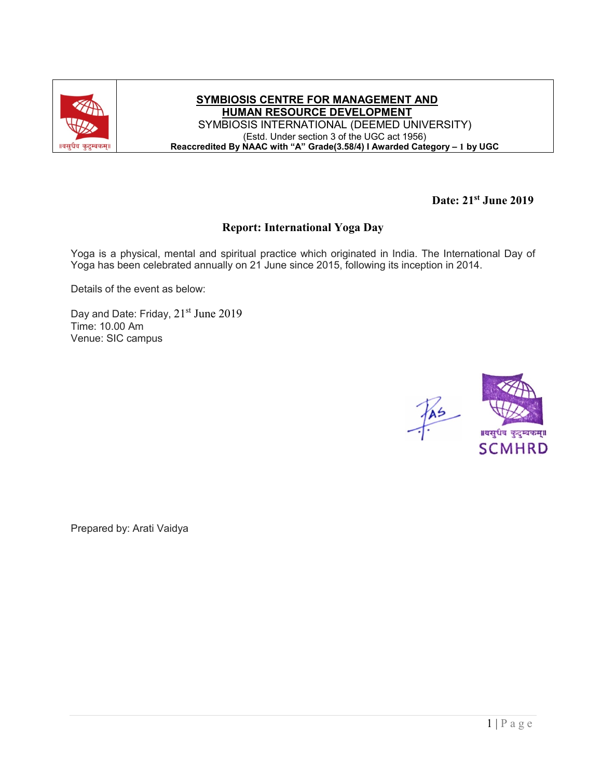

**SYMBIOSIS CENTRE FOR MANAGEMENT AND HUMAN RESOURCE DEVELOPMENT** SYMBIOSIS INTERNATIONAL (DEEMED UNIVERSITY) (Estd. Under section 3 of the UGC act 1956) **Reaccredited By NAAC with "A" Grade(3.58/4) I Awarded Category – 1 by UGC**

**Date: 21st June 2019** 

## **Report: International Yoga Day**

Yoga is a physical, mental and spiritual practice which originated in India. The International Day of Yoga has been celebrated annually on 21 June since 2015, following its inception in 2014.

Details of the event as below:

Day and Date: Friday, 21<sup>st</sup> June 2019 Time: 10.00 Am Venue: SIC campus



Prepared by: Arati Vaidya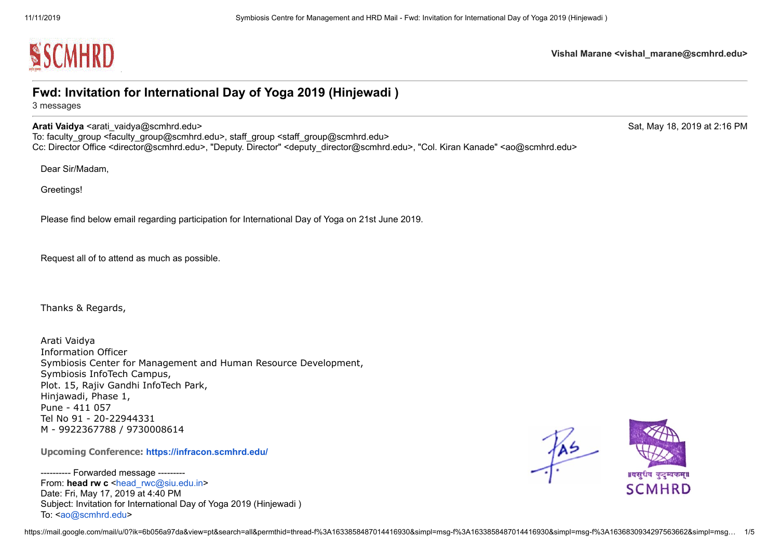

## **Fwd: Invitation for International Day of Yoga 2019 (Hinjewadi )**

3 messages

## **Arati Vaidya** <arati vaidya@scmhrd.edu> Sat, May 18, 2019 at 2:16 PM

To: faculty\_group <faculty\_group@scmhrd.edu>, staff\_group <staff\_group@scmhrd.edu> Cc: Director Office <director@scmhrd.edu>, "Deputy. Director" <deputy\_director@scmhrd.edu>, "Col. Kiran Kanade" <ao@scmhrd.edu>

Dear Sir/Madam,

Greetings!

Please find below email regarding participation for International Day of Yoga on 21st June 2019.

Request all of to attend as much as possible.

Thanks & Regards,

Arati Vaidya Information Officer Symbiosis Center for Management and Human Resource Development, Symbiosis InfoTech Campus, Plot. 15, Rajiv Gandhi InfoTech Park, Hinjawadi, Phase 1, Pune - 411 057 Tel No 91 - 20-22944331 M - 9922367788 / 9730008614

**Upcoming Conference: <https://infracon.scmhrd.edu/>**

---------- Forwarded message --------- From: **head rw c** <head rwc@siu.edu.in> Date: Fri, May 17, 2019 at 4:40 PM Subject: Invitation for International Day of Yoga 2019 (Hinjewadi ) To: <[ao@scmhrd.edu](mailto:ao@scmhrd.edu)>

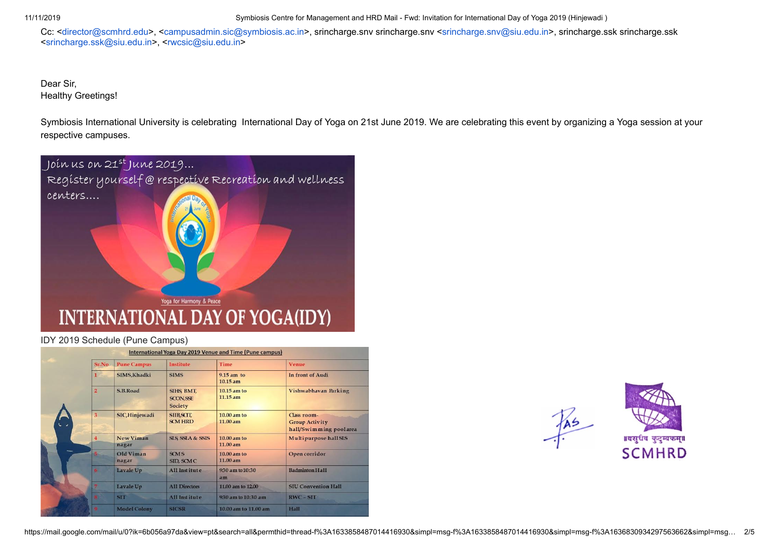11/11/2019 Symbiosis Centre for Management and HRD Mail - Fwd: Invitation for International Day of Yoga 2019 (Hinjewadi )

Cc: [<director@scmhrd.edu](mailto:director@scmhrd.edu)>, <[campusadmin.sic@symbiosis.ac.in](mailto:campusadmin.sic@symbiosis.ac.in)>, srincharge.snv srincharge.snv <[srincharge.snv@siu.edu.in>](mailto:srincharge.snv@siu.edu.in), srincharge.ssk srincharge.ssk <[srincharge.ssk@siu.edu.in](mailto:srincharge.ssk@siu.edu.in)>, [<rwcsic@siu.edu.in>](mailto:rwcsic@siu.edu.in)

Dear Sir, Healthy Greetings!

Symbiosis International University is celebrating International Day of Yoga on 21st June 2019. We are celebrating this event by organizing a Yoga session at your respective campuses.



## IDY 2019 Schedule (Pune Campus)

|  |                |                     |                                                  | International Yoga Day 2019 Venue and Time (Pune campus) |                                                                |
|--|----------------|---------------------|--------------------------------------------------|----------------------------------------------------------|----------------------------------------------------------------|
|  | Sr.No          | <b>Pune Campus</b>  | <b>Institute</b>                                 | <b>Time</b>                                              | <b>Venue</b>                                                   |
|  | $\mathbf{1}$   | SIMS, Khadki        | <b>SIMS</b>                                      | $9.15$ am to<br>$10.15$ am                               | In front of Audi                                               |
|  | $\overline{2}$ | S.B.Road            | SIHS, BMT,<br><b>SCON, SSE</b><br><b>Society</b> | 10.15 am to<br>$11.15$ am                                | Vishwabhavan Parking                                           |
|  | $\overline{3}$ | SIC, Hinjewadi      | <b>SIIB, SCIT,</b><br><b>SCM HRD</b>             | 10.00 am to<br>11.00 am                                  | Class room-<br><b>Group Activity</b><br>hall/Swimming poolarea |
|  | 4              | New Viman<br>nagar  | <b>SLS SSLA &amp; SSIS</b>                       | 10.00 am to<br>11.00 am                                  | Multipurpose hall SLS                                          |
|  |                | Old Viman<br>nagar  | <b>SCMS</b><br>SID, SCMC                         | 10.00 am to<br>11.00 am                                  | Open corridor                                                  |
|  | 6.             | Lavale Up           | All Institute                                    | 930 am to 10:30<br>am                                    | <b>Badminton Hall</b>                                          |
|  |                | Lavale Up           | <b>All Directors</b>                             | 11.00 am to 12.00                                        | <b>SIU Convention Hall</b>                                     |
|  |                | <b>SIT</b>          | All Institute                                    | 930 am to 10:30 am                                       | $RWC - SIT$                                                    |
|  |                | <b>Model Colony</b> | <b>SICSR</b>                                     | 10.00 am to 11.00 am                                     | Hall                                                           |



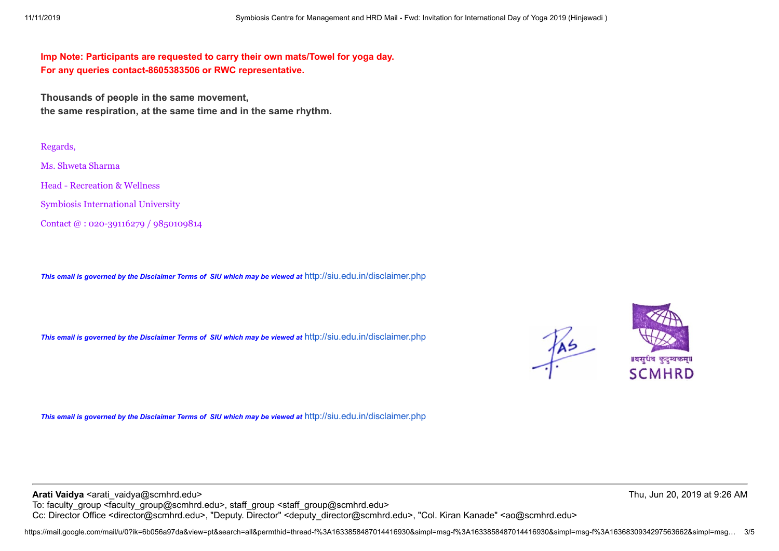**Imp Note: Participants are requested to carry their own mats/Towel for yoga day. For any queries contact-8605383506 or RWC representative.**

**Thousands of people in the same movement, the same respiration, at the same time and in the same rhythm.**

Regards,

Ms. Shweta Sharma

Head - Recreation & Wellness

Symbiosis International University

Contact @ : 020-39116279 / 9850109814

*This email is governed by the Disclaimer Terms of SIU which may be viewed at* <http://siu.edu.in/disclaimer.php>

*This email is governed by the Disclaimer Terms of SIU which may be viewed at* <http://siu.edu.in/disclaimer.php>





*This email is governed by the Disclaimer Terms of SIU which may be viewed at* <http://siu.edu.in/disclaimer.php>

**Arati Vaidya** <arati vaidya@scmhrd.edu> Thu, Jun 20, 2019 at 9:26 AM To: faculty\_group <faculty\_group@scmhrd.edu>, staff\_group <staff\_group@scmhrd.edu> Cc: Director Office <director@scmhrd.edu>, "Deputy. Director" <deputy\_director@scmhrd.edu>, "Col. Kiran Kanade" <ao@scmhrd.edu>

https://mail.google.com/mail/u/0?ik=6b056a97da&view=pt&search=all&permthid=thread-f%3A1633858487014416930&simpl=msg-f%3A1633858487014416930&simpl=msg-f%3A1636830934297563662&simpl=msg… 3/5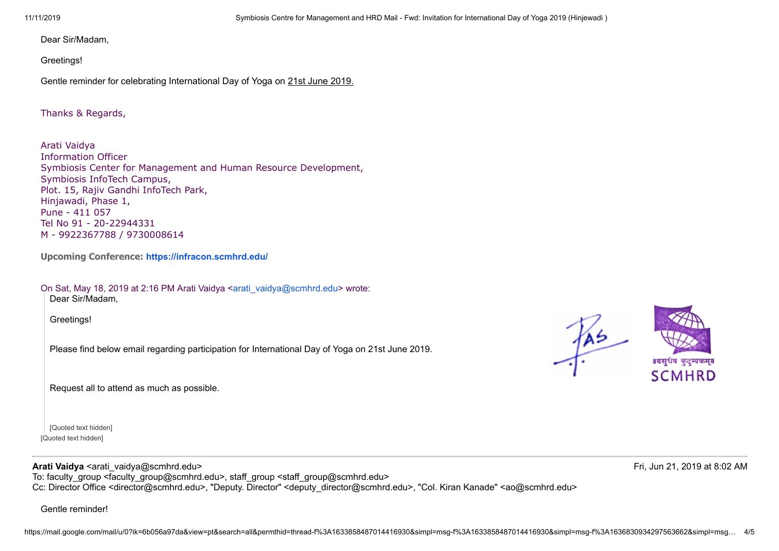Dear Sir/Madam,

Greetings!

Gentle reminder for celebrating International Day of Yoga on 21st June 2019.

Thanks & Regards,

Arati Vaidya Information Officer Symbiosis Center for Management and Human Resource Development, Symbiosis InfoTech Campus, Plot. 15, Rajiv Gandhi InfoTech Park, Hinjawadi, Phase 1, Pune - 411 057 Tel No 91 - 20-22944331 M - 9922367788 / 9730008614

**Upcoming Conference: <https://infracon.scmhrd.edu/>**

On Sat, May 18, 2019 at 2:16 PM Arati Vaidya <[arati\\_vaidya@scmhrd.edu](mailto:arati_vaidya@scmhrd.edu)> wrote: Dear Sir/Madam,

Greetings!

Please find below email regarding participation for International Day of Yoga on 21st June 2019.

Request all to attend as much as possible.

[Quoted text hidden] [Quoted text hidden]

SCMHRD

 $\frac{1}{2}$ 

**Arati Vaidya** <arati vaidya@scmhrd.edu> **Arati Vaidya** <arati vaidya@scmhrd.edu> Fri, Jun 21, 2019 at 8:02 AM To: faculty\_group <faculty\_group@scmhrd.edu>, staff\_group <staff\_group@scmhrd.edu> Cc: Director Office <director@scmhrd.edu>, "Deputy. Director" <deputy\_director@scmhrd.edu>, "Col. Kiran Kanade" <ao@scmhrd.edu>

Gentle reminder!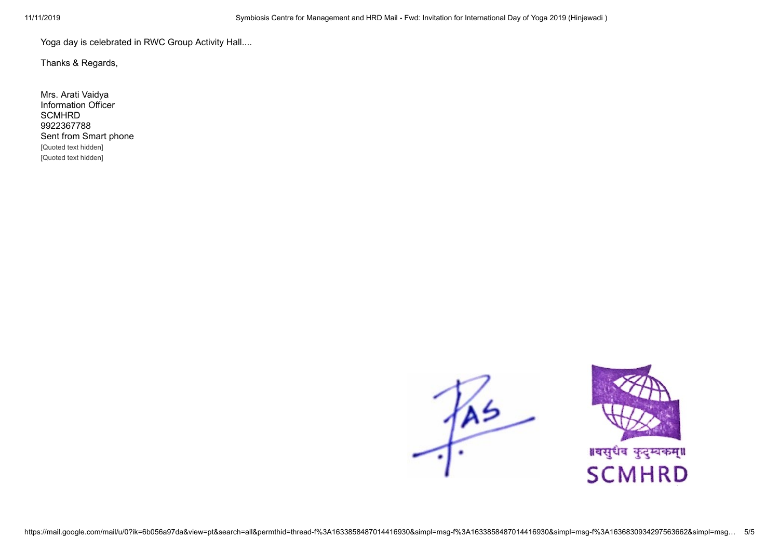Yoga day is celebrated in RWC Group Activity Hall....

Thanks & Regards,

Mrs. Arati Vaidya Information Officer **SCMHRD** 9922367788 Sent from Smart phone [Quoted text hidden] [Quoted text hidden]